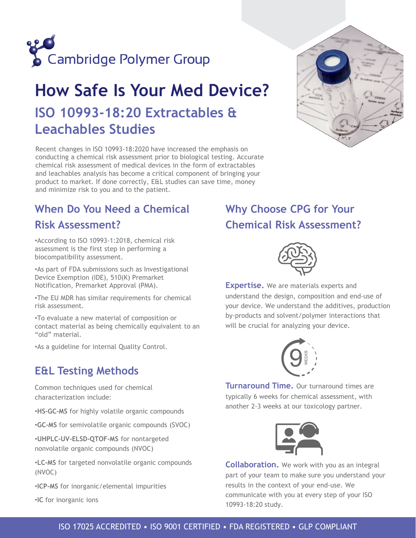

# **How Safe Is Your Med Device? ISO 10993-18:20 Extractables & Leachables Studies**

Recent changes in ISO 10993-18:2020 have increased the emphasis on conducting a chemical risk assessment prior to biological testing. Accurate chemical risk assessment of medical devices in the form of extractables and leachables analysis has become a critical component of bringing your product to market. If done correctly, E&L studies can save time, money and minimize risk to you and to the patient.



## **When Do You Need a Chemical**

### **Risk Assessment?**

•According to ISO 10993-1:2018, chemical risk assessment is the first step in performing a biocompatibility assessment.

•As part of FDA submissions such as Investigational Device Exemption (IDE), 510(K) Premarket Notification, Premarket Approval (PMA).

•The EU MDR has similar requirements for chemical risk assessment.

•To evaluate a new material of composition or contact material as being chemically equivalent to an "old" material.

•As a guideline for internal Quality Control.

## **E&L Testing Methods**

Common techniques used for chemical characterization include:

•**HS-GC-MS** for highly volatile organic compounds

•**GC-MS** for semivolatile organic compounds (SVOC)

•**UHPLC-UV-ELSD-QTOF-MS** for nontargeted nonvolatile organic compounds (NVOC)

•**LC-MS** for targeted nonvolatile organic compounds (NVOC)

•**ICP-MS** for inorganic/elemental impurities

•**IC** for inorganic ions

## **Why Choose CPG for Your Chemical Risk Assessment?**



**Expertise.** We are materials experts and understand the design, composition and end-use of your device. We understand the additives, production by-products and solvent/polymer interactions that will be crucial for analyzing your device.



**Turnaround Time.** Our turnaround times are typically 6 weeks for chemical assessment, with another 2-3 weeks at our toxicology partner.



**Collaboration.** We work with you as an integral part of your team to make sure you understand your results in the context of your end-use. We communicate with you at every step of your ISO 10993-18:20 study.

### ISO 17025 ACCREDITED • ISO 9001 CERTIFIED • FDA REGISTERED • GLP COMPLIANT